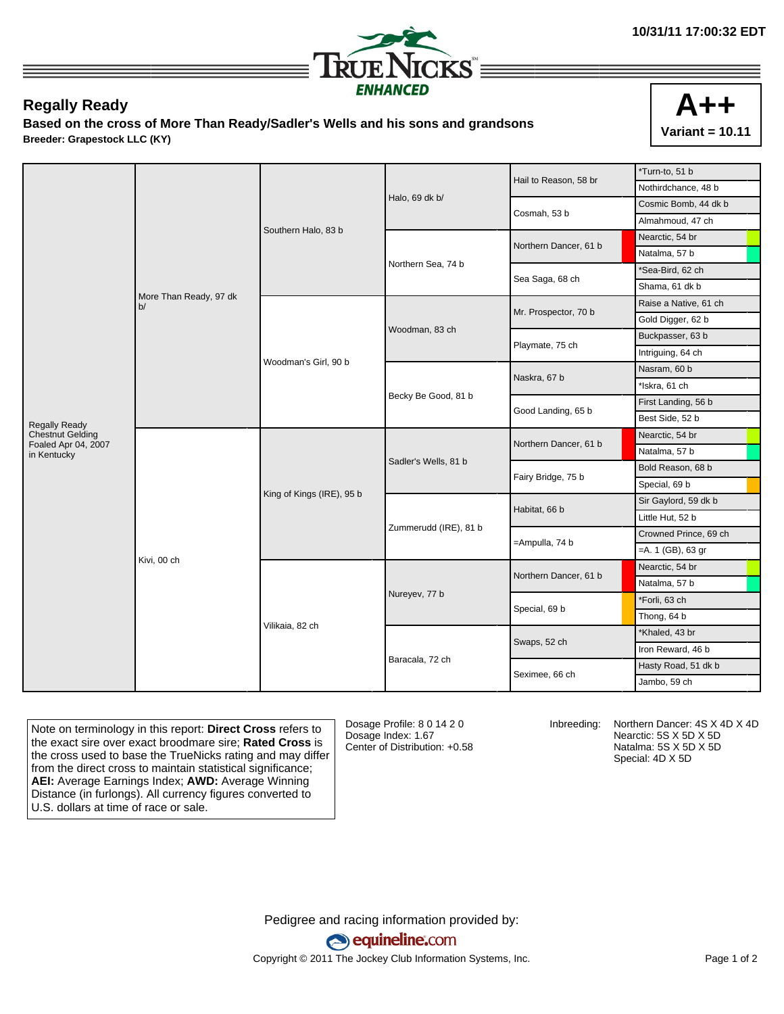

## **Regally Ready**

**Based on the cross of More Than Ready/Sadler's Wells and his sons and grandsons Breeder: Grapestock LLC (KY)**



|                                                |                              |                           |                       | Hail to Reason, 58 br | *Turn-to, 51 b                                                                                                                            |                  |
|------------------------------------------------|------------------------------|---------------------------|-----------------------|-----------------------|-------------------------------------------------------------------------------------------------------------------------------------------|------------------|
|                                                |                              |                           |                       |                       | Nothirdchance, 48 b                                                                                                                       |                  |
|                                                |                              |                           | Halo, 69 dk b/        | Cosmah, 53 b          | Cosmic Bomb, 44 dk b                                                                                                                      |                  |
|                                                |                              |                           | Southern Halo, 83 b   |                       |                                                                                                                                           | Almahmoud, 47 ch |
|                                                |                              |                           |                       |                       | Northern Dancer, 61 b                                                                                                                     | Nearctic, 54 br  |
|                                                |                              |                           |                       |                       | Natalma, 57 b                                                                                                                             |                  |
|                                                |                              |                           | Northern Sea, 74 b    | Sea Saga, 68 ch       | *Sea-Bird, 62 ch                                                                                                                          |                  |
|                                                | More Than Ready, 97 dk<br>b/ |                           |                       |                       | Shama, 61 dk b                                                                                                                            |                  |
|                                                |                              |                           |                       | Mr. Prospector, 70 b  | Raise a Native, 61 ch                                                                                                                     |                  |
|                                                |                              |                           |                       |                       | Gold Digger, 62 b                                                                                                                         |                  |
|                                                |                              |                           | Woodman, 83 ch        |                       | Buckpasser, 63 b                                                                                                                          |                  |
|                                                |                              | Woodman's Girl, 90 b      |                       | Playmate, 75 ch       | Intriguing, 64 ch                                                                                                                         |                  |
|                                                |                              |                           |                       | Naskra, 67 b          | Nasram, 60 b                                                                                                                              |                  |
|                                                |                              |                           |                       |                       |                                                                                                                                           |                  |
|                                                |                              |                           | Becky Be Good, 81 b   | Good Landing, 65 b    | First Landing, 56 b                                                                                                                       |                  |
| <b>Regally Ready</b>                           |                              |                           |                       |                       | Best Side, 52 b                                                                                                                           |                  |
| <b>Chestnut Gelding</b><br>Foaled Apr 04, 2007 |                              |                           |                       | Northern Dancer, 61 b | Nearctic, 54 br                                                                                                                           |                  |
| in Kentucky                                    |                              |                           |                       |                       | *Iskra, 61 ch<br>Natalma, 57 b<br>Bold Reason, 68 b<br>Special, 69 b<br>Sir Gaylord, 59 dk b<br>Little Hut, 52 b<br>Crowned Prince, 69 ch |                  |
|                                                |                              | King of Kings (IRE), 95 b | Sadler's Wells, 81 b  | Fairy Bridge, 75 b    |                                                                                                                                           |                  |
|                                                |                              |                           |                       |                       |                                                                                                                                           |                  |
|                                                |                              |                           | Zummerudd (IRE), 81 b | Habitat, 66 b         |                                                                                                                                           |                  |
|                                                |                              |                           |                       |                       |                                                                                                                                           |                  |
|                                                |                              |                           |                       | =Ampulla, 74 b        |                                                                                                                                           |                  |
|                                                |                              |                           |                       |                       | $=$ A. 1 (GB), 63 gr                                                                                                                      |                  |
|                                                | Kivi, 00 ch                  |                           | Nureyev, 77 b         | Northern Dancer, 61 b | Nearctic, 54 br                                                                                                                           |                  |
|                                                |                              |                           |                       |                       | Natalma, 57 b                                                                                                                             |                  |
|                                                |                              |                           |                       | Special, 69 b         | *Forli, 63 ch                                                                                                                             |                  |
|                                                |                              |                           |                       |                       | Thong, 64 b                                                                                                                               |                  |
|                                                |                              | Vilikaia, 82 ch           |                       | Swaps, 52 ch          | *Khaled, 43 br                                                                                                                            |                  |
|                                                |                              |                           |                       |                       | Iron Reward, 46 b                                                                                                                         |                  |
|                                                |                              |                           | Baracala, 72 ch       | Seximee, 66 ch        | Hasty Road, 51 dk b                                                                                                                       |                  |
|                                                |                              |                           |                       |                       | Jambo, 59 ch                                                                                                                              |                  |

Note on terminology in this report: **Direct Cross** refers to the exact sire over exact broodmare sire; **Rated Cross** is the cross used to base the TrueNicks rating and may differ from the direct cross to maintain statistical significance; **AEI:** Average Earnings Index; **AWD:** Average Winning Distance (in furlongs). All currency figures converted to U.S. dollars at time of race or sale.

Dosage Profile: 8 0 14 2 0 Dosage Index: 1.67 Center of Distribution: +0.58

Inbreeding: Northern Dancer: 4S X 4D X 4D Nearctic: 5S X 5D X 5D Natalma: 5S X 5D X 5D Special: 4D X 5D

Pedigree and racing information provided by: equineline.com Copyright © 2011 The Jockey Club Information Systems, Inc. example 2012 Page 1 of 2